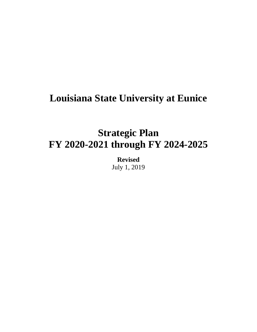# **Louisiana State University at Eunice**

# **Strategic Plan FY 2020-2021 through FY 2024-2025**

**Revised** July 1, 2019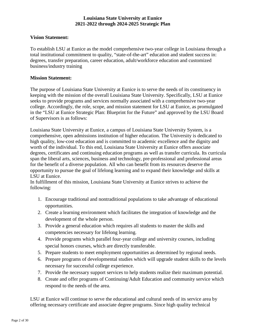## **Vision Statement:**

To establish LSU at Eunice as the model comprehensive two-year college in Louisiana through a total institutional commitment to quality, "state-of-the-art" education and student success in: degrees, transfer preparation, career education, adult/workforce education and customized business/industry training

## **Mission Statement:**

The purpose of Louisiana State University at Eunice is to serve the needs of its constituency in keeping with the mission of the overall Louisiana State University. Specifically, LSU at Eunice seeks to provide programs and services normally associated with a comprehensive two-year college. Accordingly, the role, scope, and mission statement for LSU at Eunice, as promulgated in the "LSU at Eunice Strategic Plan: Blueprint for the Future" and approved by the LSU Board of Supervisors is as follows:

Louisiana State University at Eunice, a campus of Louisiana State University System, is a comprehensive, open admissions institution of higher education. The University is dedicated to high quality, low-cost education and is committed to academic excellence and the dignity and worth of the individual. To this end, Louisiana State University at Eunice offers associate degrees, certificates and continuing education programs as well as transfer curricula. Its curricula span the liberal arts, sciences, business and technology, pre-professional and professional areas for the benefit of a diverse population. All who can benefit from its resources deserve the opportunity to pursue the goal of lifelong learning and to expand their knowledge and skills at LSU at Eunice.

In fulfillment of this mission, Louisiana State University at Eunice strives to achieve the following:

- 1. Encourage traditional and nontraditional populations to take advantage of educational opportunities.
- 2. Create a learning environment which facilitates the integration of knowledge and the development of the whole person.
- 3. Provide a general education which requires all students to master the skills and competencies necessary for lifelong learning.
- 4. Provide programs which parallel four-year college and university courses, including special honors courses, which are directly transferable.
- 5. Prepare students to meet employment opportunities as determined by regional needs.
- 6. Prepare programs of developmental studies which will upgrade student skills to the levels necessary for successful college experience.
- 7. Provide the necessary support services to help students realize their maximum potential.
- 8. Create and offer programs of Continuing/Adult Education and community service which respond to the needs of the area.

LSU at Eunice will continue to serve the educational and cultural needs of its service area by offering necessary certificate and associate degree programs. Since high quality technical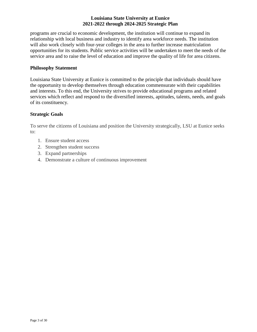programs are crucial to economic development, the institution will continue to expand its relationship with local business and industry to identify area workforce needs. The institution will also work closely with four-year colleges in the area to further increase matriculation opportunities for its students. Public service activities will be undertaken to meet the needs of the service area and to raise the level of education and improve the quality of life for area citizens.

## **Philosophy Statement**

Louisiana State University at Eunice is committed to the principle that individuals should have the opportunity to develop themselves through education commensurate with their capabilities and interests. To this end, the University strives to provide educational programs and related services which reflect and respond to the diversified interests, aptitudes, talents, needs, and goals of its constituency.

## **Strategic Goals**

To serve the citizens of Louisiana and position the University strategically, LSU at Eunice seeks to:

- 1. Ensure student access
- 2. Strengthen student success
- 3. Expand partnerships
- 4. Demonstrate a culture of continuous improvement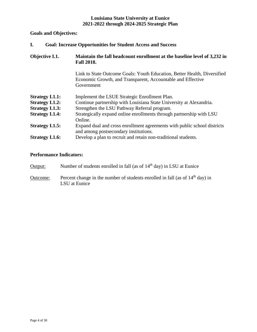## **Goals and Objectives:**

| I.<br><b>Goal: Increase Opportunities for Student Access and Success</b> |                                                                                                                                                       |
|--------------------------------------------------------------------------|-------------------------------------------------------------------------------------------------------------------------------------------------------|
| Objective I.1.                                                           | Maintain the fall headcount enrollment at the baseline level of 3,232 in<br><b>Fall 2018.</b>                                                         |
|                                                                          | Link to State Outcome Goals: Youth Education, Better Health, Diversified<br>Economic Growth, and Transparent, Accountable and Effective<br>Government |
| <b>Strategy I.1.1:</b>                                                   | Implement the LSUE Strategic Enrollment Plan.                                                                                                         |
| <b>Strategy I.1.2:</b>                                                   | Continue partnership with Louisiana State University at Alexandria.                                                                                   |
| <b>Strategy I.1.3:</b>                                                   | Strengthen the LSU Pathway Referral program.                                                                                                          |
| <b>Strategy I.1.4:</b>                                                   | Strategically expand online enrollments through partnership with LSU<br>Online.                                                                       |
| <b>Strategy I.1.5:</b>                                                   | Expand dual and cross enrollment agreements with public school districts<br>and among postsecondary institutions.                                     |
| <b>Strategy I.1.6:</b>                                                   | Develop a plan to recruit and retain non-traditional students.                                                                                        |

## **Performance Indicators:**

| Output:  | Number of students enrolled in fall (as of 14 <sup>th</sup> day) in LSU at Eunice                |
|----------|--------------------------------------------------------------------------------------------------|
| Outcome: | Percent change in the number of students enrolled in fall (as of $14th$ day) in<br>LSU at Eunice |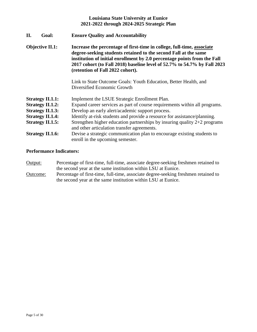| II. | Goal:                                              | <b>Ensure Quality and Accountability</b>                                                                                                                                                                                                                                                                                              |
|-----|----------------------------------------------------|---------------------------------------------------------------------------------------------------------------------------------------------------------------------------------------------------------------------------------------------------------------------------------------------------------------------------------------|
|     | <b>Objective II.1:</b>                             | Increase the percentage of first-time in college, full-time, associate<br>degree-seeking students retained to the second Fall at the same<br>institution of initial enrollment by 2.0 percentage points from the Fall<br>2017 cohort (to Fall 2018) baseline level of 52.7% to 54.7% by Fall 2023<br>(retention of Fall 2022 cohort). |
|     |                                                    | Link to State Outcome Goals: Youth Education, Better Health, and<br>Diversified Economic Growth                                                                                                                                                                                                                                       |
|     | <b>Strategy II.1.1:</b><br><b>Strategy II.1.2:</b> | Implement the LSUE Strategic Enrollment Plan.<br>Expand career services as part of course requirements within all programs.                                                                                                                                                                                                           |
|     | <b>Strategy II.1.3:</b>                            | Develop an early alert/academic support process.                                                                                                                                                                                                                                                                                      |
|     | <b>Strategy II.1.4:</b>                            | Identify at-risk students and provide a resource for assistance/planning.                                                                                                                                                                                                                                                             |
|     | <b>Strategy II.1.5:</b>                            | Strengthen higher education partnerships by insuring quality $2+2$ programs<br>and other articulation transfer agreements.                                                                                                                                                                                                            |
|     | <b>Strategy II.1.6:</b>                            | Devise a strategic communication plan to encourage existing students to<br>enroll in the upcoming semester.                                                                                                                                                                                                                           |

## **Performance Indicators:**

- Output: Percentage of first-time, full-time, associate degree-seeking freshmen retained to the second year at the same institution within LSU at Eunice. Outcome: Percentage of first-time, full-time, associate degree-seeking freshmen retained to
- the second year at the same institution within LSU at Eunice.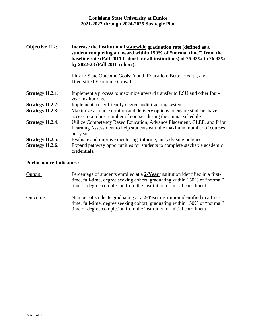| <b>Objective II.2:</b>  | Increase the institutional statewide graduation rate (defined as a<br>student completing an award within 150% of "normal time") from the<br>baseline rate (Fall 2011 Cohort for all institutions) of 25.92% to 26.92%<br>by 2022-23 (Fall 2016 cohort). |
|-------------------------|---------------------------------------------------------------------------------------------------------------------------------------------------------------------------------------------------------------------------------------------------------|
|                         | Link to State Outcome Goals: Youth Education, Better Health, and<br>Diversified Economic Growth                                                                                                                                                         |
| <b>Strategy II.2.1:</b> | Implement a process to maximize upward transfer to LSU and other four-<br>year institutions.                                                                                                                                                            |
| <b>Strategy II.2.2:</b> | Implement a user friendly degree audit tracking system.                                                                                                                                                                                                 |
| <b>Strategy II.2.3:</b> | Maximize a course rotation and delivery options to ensure students have<br>access to a robust number of courses during the annual schedule.                                                                                                             |
| <b>Strategy II.2.4:</b> | Utilize Competency Based Education, Advance Placement, CLEP, and Prior<br>Learning Assessment to help students earn the maximum number of courses<br>per year.                                                                                          |
| <b>Strategy II.2.5:</b> | Evaluate and improve mentoring, tutoring, and advising policies.                                                                                                                                                                                        |
| <b>Strategy II.2.6:</b> | Expand pathway opportunities for students to complete stackable academic<br>credentials.                                                                                                                                                                |

## **Performance Indicators:**

Output: Percentage of students enrolled at a 2-Year institution identified in a firsttime, full-time, degree seeking cohort, graduating within 150% of "normal" time of degree completion from the institution of initial enrollment Outcome: Number of students graduating at a **2-Year** institution identified in a firsttime, full-time, degree seeking cohort, graduating within 150% of "normal" time of degree completion from the institution of initial enrollment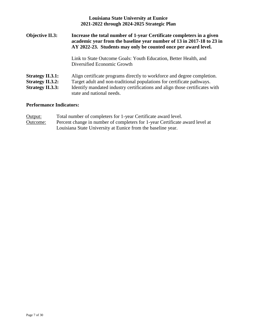| <b>Louisiana State University at Eunice</b><br>2021-2022 through 2024-2025 Strategic Plan                                                                                                                                                                     |
|---------------------------------------------------------------------------------------------------------------------------------------------------------------------------------------------------------------------------------------------------------------|
| Increase the total number of 1-year Certificate completers in a given<br>academic year from the baseline year number of 13 in 2017-18 to 23 in<br>AY 2022-23. Students may only be counted once per award level.                                              |
| Link to State Outcome Goals: Youth Education, Better Health, and<br>Diversified Economic Growth                                                                                                                                                               |
| Align certificate programs directly to workforce and degree completion.<br>Target adult and non-traditional populations for certificate pathways.<br>Identify mandated industry certifications and align those certificates with<br>state and national needs. |
|                                                                                                                                                                                                                                                               |

## **Performance Indicators:**

| Output:  | Total number of completers for 1-year Certificate award level.                                                                               |
|----------|----------------------------------------------------------------------------------------------------------------------------------------------|
| Outcome: | Percent change in number of completers for 1-year Certificate award level at<br>Louisiana State University at Eunice from the baseline year. |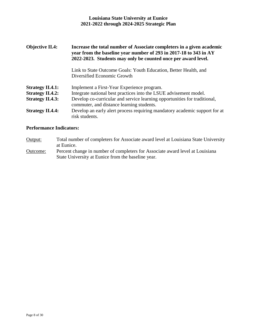| <b>Objective II.4:</b>                             | Increase the total number of Associate completers in a given academic<br>year from the baseline year number of 293 in 2017-18 to 343 in AY<br>2022-2023. Students may only be counted once per award level. |
|----------------------------------------------------|-------------------------------------------------------------------------------------------------------------------------------------------------------------------------------------------------------------|
|                                                    | Link to State Outcome Goals: Youth Education, Better Health, and<br>Diversified Economic Growth                                                                                                             |
| <b>Strategy II.4.1:</b><br><b>Strategy II.4.2:</b> | Implement a First-Year Experience program.<br>Integrate national best practices into the LSUE advisement model.                                                                                             |
| <b>Strategy II.4.3:</b>                            | Develop co-curricular and service learning opportunities for traditional,<br>commuter, and distance learning students.                                                                                      |
| <b>Strategy II.4.4:</b>                            | Develop an early alert process requiring mandatory academic support for at<br>risk students.                                                                                                                |

## **Performance Indicators:**

| Output: | Total number of completers for Associate award level at Louisiana State University |
|---------|------------------------------------------------------------------------------------|
|         | at Eunice.                                                                         |

Outcome: Percent change in number of completers for Associate award level at Louisiana State University at Eunice from the baseline year.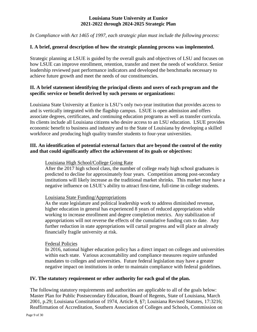*In Compliance with Act 1465 of 1997, each strategic plan must include the following process:*

## **I. A brief, general description of how the strategic planning process was implemented.**

Strategic planning at LSUE is guided by the overall goals and objectives of LSU and focuses on how LSUE can improve enrollment, retention, transfer and meet the needs of workforce. Senior leadership reviewed past performance indicators and developed the benchmarks necessary to achieve future growth and meet the needs of our constituencies.

## **II. A brief statement identifying the principal clients and users of each program and the specific service or benefit derived by such persons or organizations:**

Louisiana State University at Eunice is LSU's only two-year institution that provides access to and is vertically integrated with the flagship campus. LSUE is open admission and offers associate degrees, certificates, and continuing education programs as well as transfer curricula. Its clients include all Louisiana citizens who desire access to an LSU education. LSUE provides economic benefit to business and industry and to the State of Louisiana by developing a skilled workforce and producing high quality transfer students to four-year universities.

## **III. An identification of potential external factors that are beyond the control of the entity and that could significantly affect the achievement of its goals or objectives:**

## Louisiana High School/College Going Rate

After the 2017 high school class, the number of college ready high school graduates is predicted to decline for approximately four years. Competition among post-secondary institutions will likely increase as the traditional market shrinks. This market may have a negative influence on LSUE's ability to attract first-time, full-time in college students.

## Louisiana State Funding/Appropriations

As the state legislature and political leadership work to address diminished revenue, higher education in general has experienced 8 years of reduced appropriations while working to increase enrollment and degree completion metrics. Any stabilization of appropriations will not reverse the effects of the cumulative funding cuts to date. Any further reduction in state appropriations will curtail progress and will place an already financially fragile university at risk.

## Federal Policies

In 2016, national higher education policy has a direct impact on colleges and universities within each state. Various accountability and compliance measures require unfunded mandates to colleges and universities. Future federal legislation may have a greater negative impact on institutions in order to maintain compliance with federal guidelines.

## **IV. The statutory requirement or other authority for each goal of the plan.**

The following statutory requirements and authorities are applicable to all of the goals below: Master Plan for Public Postsecondary Education, Board of Regents, State of Louisiana, March 2001, p.29; Louisiana Constitution of 1974, Article 8, §7; Louisiana Revised Statutes, 17:3216; Reaffirmation of Accreditation, Southern Association of Colleges and Schools, Commission on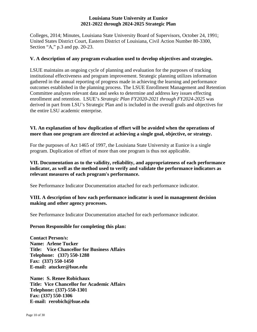Colleges, 2014; Minutes, Louisiana State University Board of Supervisors, October 24, 1991; United States District Court, Eastern District of Louisiana, Civil Action Number 80-3300, Section "A," p.3 and pp. 20-23.

## **V. A description of any program evaluation used to develop objectives and strategies.**

LSUE maintains an ongoing cycle of planning and evaluation for the purposes of tracking institutional effectiveness and program improvement. Strategic planning utilizes information gathered in the annual reporting of progress made in achieving the learning and performance outcomes established in the planning process. The LSUE Enrollment Management and Retention Committee analyzes relevant data and seeks to determine and address key issues effecting enrollment and retention. LSUE's *Strategic Plan FY2020-2021 through FY2024-2025* was derived in part from LSU's Strategic Plan and is included in the overall goals and objectives for the entire LSU academic enterprise.

## **VI. An explanation of how duplication of effort will be avoided when the operations of more than one program are directed at achieving a single goal, objective, or strategy.**

For the purposes of Act 1465 of 1997, the Louisiana State University at Eunice is a single program. Duplication of effort of more than one program is thus not applicable.

## **VII. Documentation as to the validity, reliability, and appropriateness of each performance indicator, as well as the method used to verify and validate the performance indicators as relevant measures of each program's performance.**

See Performance Indicator Documentation attached for each performance indicator.

## **VIII. A description of how each performance indicator is used in management decision making and other agency processes.**

See Performance Indicator Documentation attached for each performance indicator.

## **Person Responsible for completing this plan:**

**Contact Person/s: Name: Arlene Tucker Title: Vice Chancellor for Business Affairs Telephone: (337) 550-1288 Fax: (337) 550-1450 E-mail: atucker@lsue.edu**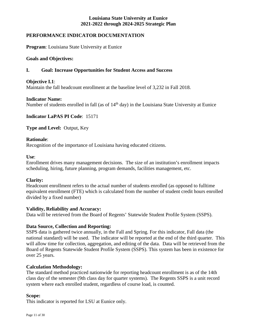## **PERFORMANCE INDICATOR DOCUMENTATION**

**Program**: Louisiana State University at Eunice

#### **Goals and Objectives:**

## **I. Goal: Increase Opportunities for Student Access and Success**

## **Objective I.1**:

Maintain the fall headcount enrollment at the baseline level of 3,232 in Fall 2018.

#### **Indicator Name:**

Number of students enrolled in fall (as of 14<sup>th</sup> day) in the Louisiana State University at Eunice

**Indicator LaPAS PI Code**: 15171

**Type and Level:** Output, Key

#### **Rationale**:

Recognition of the importance of Louisiana having educated citizens.

#### **Use**:

Enrollment drives many management decisions. The size of an institution's enrollment impacts scheduling, hiring, future planning, program demands, facilities management, etc.

## **Clarity:**

Headcount enrollment refers to the actual number of students enrolled (as opposed to fulltime equivalent enrollment (FTE) which is calculated from the number of student credit hours enrolled divided by a fixed number)

## **Validity, Reliability and Accuracy:**

Data will be retrieved from the Board of Regents' Statewide Student Profile System (SSPS).

## **Data Source, Collection and Reporting:**

SSPS data is gathered twice annually, in the Fall and Spring. For this indicator, Fall data (the national standard) will be used. The indicator will be reported at the end of the third quarter. This will allow time for collection, aggregation, and editing of the data. Data will be retrieved from the Board of Regents Statewide Student Profile System (SSPS). This system has been in existence for over 25 years.

## **Calculation Methodology:**

The standard method practiced nationwide for reporting headcount enrollment is as of the 14th class day of the semester (9th class day for quarter systems). The Regents SSPS is a unit record system where each enrolled student, regardless of course load, is counted.

#### **Scope:**

This indicator is reported for LSU at Eunice only.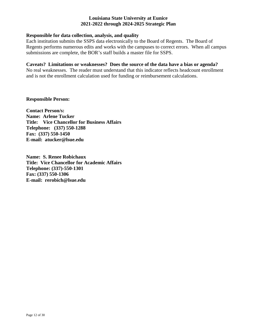## **Responsible for data collection, analysis, and quality**

Each institution submits the SSPS data electronically to the Board of Regents. The Board of Regents performs numerous edits and works with the campuses to correct errors. When all campus submissions are complete, the BOR's staff builds a master file for SSPS.

#### **Caveats? Limitations or weaknesses? Does the source of the data have a bias or agenda?**

No real weaknesses. The reader must understand that this indicator reflects headcount enrollment and is not the enrollment calculation used for funding or reimbursement calculations.

## **Responsible Person:**

**Contact Person/s: Name: Arlene Tucker Title: Vice Chancellor for Business Affairs Telephone: (337) 550-1288 Fax: (337) 550-1450 E-mail: atucker@lsue.edu**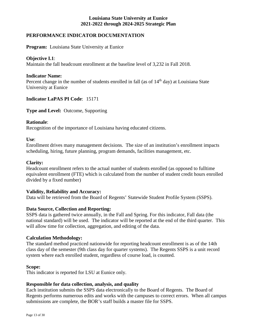## **PERFORMANCE INDICATOR DOCUMENTATION**

**Program:** Louisiana State University at Eunice

#### **Objective I.1**:

Maintain the fall headcount enrollment at the baseline level of 3,232 in Fall 2018.

#### **Indicator Name:**

Percent change in the number of students enrolled in fall (as of  $14<sup>th</sup>$  day) at Louisiana State University at Eunice

#### **Indicator LaPAS PI Code**: 15171

**Type and Level:** Outcome, Supporting

#### **Rationale**:

Recognition of the importance of Louisiana having educated citizens.

**Use**:

Enrollment drives many management decisions. The size of an institution's enrollment impacts scheduling, hiring, future planning, program demands, facilities management, etc.

## **Clarity:**

Headcount enrollment refers to the actual number of students enrolled (as opposed to fulltime equivalent enrollment (FTE) which is calculated from the number of student credit hours enrolled divided by a fixed number)

## **Validity, Reliability and Accuracy:**

Data will be retrieved from the Board of Regents' Statewide Student Profile System (SSPS).

## **Data Source, Collection and Reporting:**

SSPS data is gathered twice annually, in the Fall and Spring. For this indicator, Fall data (the national standard) will be used. The indicator will be reported at the end of the third quarter. This will allow time for collection, aggregation, and editing of the data.

#### **Calculation Methodology:**

The standard method practiced nationwide for reporting headcount enrollment is as of the 14th class day of the semester (9th class day for quarter systems). The Regents SSPS is a unit record system where each enrolled student, regardless of course load, is counted.

#### **Scope:**

This indicator is reported for LSU at Eunice only.

#### **Responsible for data collection, analysis, and quality**

Each institution submits the SSPS data electronically to the Board of Regents. The Board of Regents performs numerous edits and works with the campuses to correct errors. When all campus submissions are complete, the BOR's staff builds a master file for SSPS.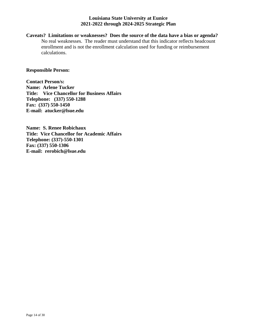**Caveats? Limitations or weaknesses? Does the source of the data have a bias or agenda?** No real weaknesses. The reader must understand that this indicator reflects headcount enrollment and is not the enrollment calculation used for funding or reimbursement calculations.

**Responsible Person:** 

**Contact Person/s: Name: Arlene Tucker Title: Vice Chancellor for Business Affairs Telephone: (337) 550-1288 Fax: (337) 550-1450 E-mail: atucker@lsue.edu**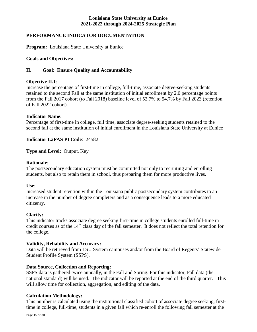## **PERFORMANCE INDICATOR DOCUMENTATION**

**Program:** Louisiana State University at Eunice

## **Goals and Objectives:**

## **II. Goal: Ensure Quality and Accountability**

#### **Objective II.1**:

Increase the percentage of first-time in college, full-time, associate degree-seeking students retained to the second Fall at the same institution of initial enrollment by 2.0 percentage points from the Fall 2017 cohort (to Fall 2018) baseline level of 52.7% to 54.7% by Fall 2023 (retention of Fall 2022 cohort).

## **Indicator Name:**

Percentage of first-time in college, full time, associate degree-seeking students retained to the second fall at the same institution of initial enrollment in the Louisiana State University at Eunice

#### **Indicator LaPAS PI Code**: 24582

**Type and Level:** Output, Key

#### **Rationale**:

The postsecondary education system must be committed not only to recruiting and enrolling students, but also to retain them in school, thus preparing them for more productive lives.

#### **Use**:

Increased student retention within the Louisiana public postsecondary system contributes to an increase in the number of degree completers and as a consequence leads to a more educated citizenry.

## **Clarity:**

This indicator tracks associate degree seeking first-time in college students enrolled full-time in credit courses as of the 14<sup>th</sup> class day of the fall semester. It does not reflect the total retention for the college.

## **Validity, Reliability and Accuracy:**

Data will be retrieved from LSU System campuses and/or from the Board of Regents' Statewide Student Profile System (SSPS).

## **Data Source, Collection and Reporting:**

SSPS data is gathered twice annually, in the Fall and Spring. For this indicator, Fall data (the national standard) will be used. The indicator will be reported at the end of the third quarter. This will allow time for collection, aggregation, and editing of the data.

## **Calculation Methodology:**

This number is calculated using the institutional classified cohort of associate degree seeking, firsttime in college, full-time, students in a given fall which re-enroll the following fall semester at the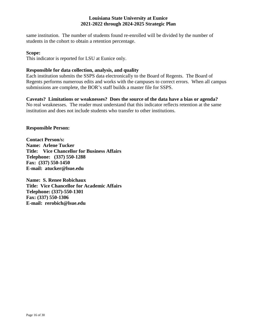same institution. The number of students found re-enrolled will be divided by the number of students in the cohort to obtain a retention percentage.

#### **Scope:**

This indicator is reported for LSU at Eunice only.

## **Responsible for data collection, analysis, and quality**

Each institution submits the SSPS data electronically to the Board of Regents. The Board of Regents performs numerous edits and works with the campuses to correct errors. When all campus submissions are complete, the BOR's staff builds a master file for SSPS.

## **Caveats? Limitations or weaknesses? Does the source of the data have a bias or agenda?**

No real weaknesses. The reader must understand that this indicator reflects retention at the same institution and does not include students who transfer to other institutions.

## **Responsible Person:**

**Contact Person/s: Name: Arlene Tucker Title: Vice Chancellor for Business Affairs Telephone: (337) 550-1288 Fax: (337) 550-1450 E-mail: atucker@lsue.edu**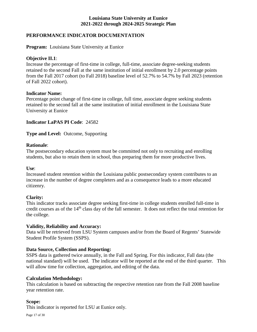## **PERFORMANCE INDICATOR DOCUMENTATION**

**Program:** Louisiana State University at Eunice

#### **Objective II.1**:

Increase the percentage of first-time in college, full-time, associate degree-seeking students retained to the second Fall at the same institution of initial enrollment by 2.0 percentage points from the Fall 2017 cohort (to Fall 2018) baseline level of 52.7% to 54.7% by Fall 2023 (retention of Fall 2022 cohort).

#### **Indicator Name:**

Percentage point change of first-time in college, full time, associate degree seeking students retained to the second fall at the same institution of initial enrollment in the Louisiana State University at Eunice

## **Indicator LaPAS PI Code**: 24582

**Type and Level:** Outcome, Supporting

#### **Rationale**:

The postsecondary education system must be committed not only to recruiting and enrolling students, but also to retain them in school, thus preparing them for more productive lives.

#### **Use**:

Increased student retention within the Louisiana public postsecondary system contributes to an increase in the number of degree completers and as a consequence leads to a more educated citizenry.

## **Clarity:**

This indicator tracks associate degree seeking first-time in college students enrolled full-time in credit courses as of the 14<sup>th</sup> class day of the fall semester. It does not reflect the total retention for the college.

## **Validity, Reliability and Accuracy:**

Data will be retrieved from LSU System campuses and/or from the Board of Regents' Statewide Student Profile System (SSPS).

## **Data Source, Collection and Reporting:**

SSPS data is gathered twice annually, in the Fall and Spring. For this indicator, Fall data (the national standard) will be used. The indicator will be reported at the end of the third quarter. This will allow time for collection, aggregation, and editing of the data.

#### **Calculation Methodology:**

This calculation is based on subtracting the respective retention rate from the Fall 2008 baseline year retention rate.

#### **Scope:**

This indicator is reported for LSU at Eunice only.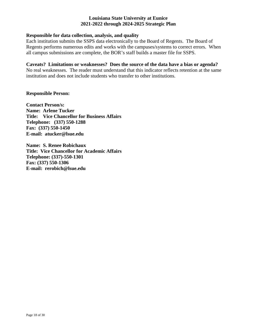## **Responsible for data collection, analysis, and quality**

Each institution submits the SSPS data electronically to the Board of Regents. The Board of Regents performs numerous edits and works with the campuses/systems to correct errors. When all campus submissions are complete, the BOR's staff builds a master file for SSPS.

#### **Caveats? Limitations or weaknesses? Does the source of the data have a bias or agenda?**

No real weaknesses. The reader must understand that this indicator reflects retention at the same institution and does not include students who transfer to other institutions.

#### **Responsible Person:**

**Contact Person/s: Name: Arlene Tucker Title: Vice Chancellor for Business Affairs Telephone: (337) 550-1288 Fax: (337) 550-1450 E-mail: atucker@lsue.edu**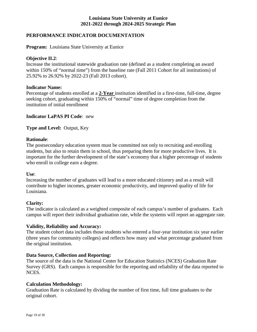## **PERFORMANCE INDICATOR DOCUMENTATION**

**Program:** Louisiana State University at Eunice

#### **Objective II.2**:

Increase the institutional statewide graduation rate (defined as a student completing an award within 150% of "normal time") from the baseline rate (Fall 2011 Cohort for all institutions) of 25.92% to 26.92% by 2022-23 (Fall 2013 cohort).

#### **Indicator Name:**

Percentage of students enrolled at a **2-Year** institution identified in a first-time, full-time, degree seeking cohort, graduating within 150% of "normal" time of degree completion from the institution of initial enrollment

## **Indicator LaPAS PI Code**: new

**Type and Level:** Output, Key

#### **Rationale**:

The postsecondary education system must be committed not only to recruiting and enrolling students, but also to retain them in school, thus preparing them for more productive lives. It is important for the further development of the state's economy that a higher percentage of students who enroll in college earn a degree.

#### **Use**:

Increasing the number of graduates will lead to a more educated citizenry and as a result will contribute to higher incomes, greater economic productivity, and improved quality of life for Louisiana.

## **Clarity:**

The indicator is calculated as a weighted composite of each campus's number of graduates. Each campus will report their individual graduation rate, while the systems will report an aggregate rate.

## **Validity, Reliability and Accuracy:**

The student cohort data includes those students who entered a four-year institution six year earlier (three years for community colleges) and reflects how many and what percentage graduated from the original institution.

## **Data Source, Collection and Reporting:**

The source of the data is the National Center for Education Statistics (NCES) Graduation Rate Survey (GRS). Each campus is responsible for the reporting and reliability of the data reported to NCES.

#### **Calculation Methodology:**

Graduation Rate is calculated by dividing the number of first time, full time graduates to the original cohort.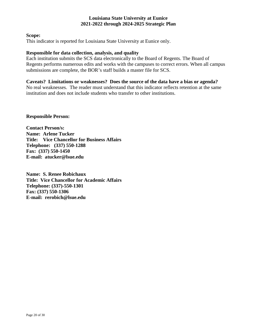#### **Scope:**

This indicator is reported for Louisiana State University at Eunice only.

#### **Responsible for data collection, analysis, and quality**

Each institution submits the SCS data electronically to the Board of Regents. The Board of Regents performs numerous edits and works with the campuses to correct errors. When all campus submissions are complete, the BOR's staff builds a master file for SCS.

## **Caveats? Limitations or weaknesses? Does the source of the data have a bias or agenda?**

No real weaknesses. The reader must understand that this indicator reflects retention at the same institution and does not include students who transfer to other institutions.

#### **Responsible Person:**

**Contact Person/s: Name: Arlene Tucker Title: Vice Chancellor for Business Affairs Telephone: (337) 550-1288 Fax: (337) 550-1450 E-mail: atucker@lsue.edu**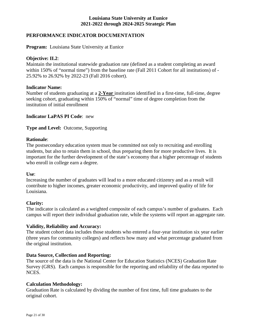## **PERFORMANCE INDICATOR DOCUMENTATION**

**Program:** Louisiana State University at Eunice

#### **Objective: II.2**:

Maintain the institutional statewide graduation rate (defined as a student completing an award within 150% of "normal time") from the baseline rate (Fall 2011 Cohort for all institutions) of -25.92% to 26.92% by 2022-23 (Fall 2016 cohort).

#### **Indicator Name:**

Number of students graduating at a **2-Year** institution identified in a first-time, full-time, degree seeking cohort, graduating within 150% of "normal" time of degree completion from the institution of initial enrollment

## **Indicator LaPAS PI Code**: new

**Type and Level:** Outcome, Supporting

#### **Rationale**:

The postsecondary education system must be committed not only to recruiting and enrolling students, but also to retain them in school, thus preparing them for more productive lives. It is important for the further development of the state's economy that a higher percentage of students who enroll in college earn a degree.

#### **Use**:

Increasing the number of graduates will lead to a more educated citizenry and as a result will contribute to higher incomes, greater economic productivity, and improved quality of life for Louisiana.

#### **Clarity:**

The indicator is calculated as a weighted composite of each campus's number of graduates. Each campus will report their individual graduation rate, while the systems will report an aggregate rate.

## **Validity, Reliability and Accuracy:**

The student cohort data includes those students who entered a four-year institution six year earlier (three years for community colleges) and reflects how many and what percentage graduated from the original institution.

## **Data Source, Collection and Reporting:**

The source of the data is the National Center for Education Statistics (NCES) Graduation Rate Survey (GRS). Each campus is responsible for the reporting and reliability of the data reported to NCES.

#### **Calculation Methodology:**

Graduation Rate is calculated by dividing the number of first time, full time graduates to the original cohort.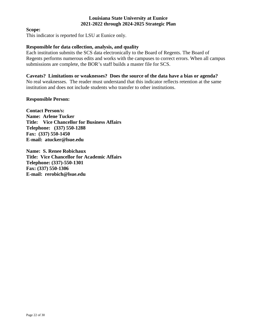#### **Scope:**

This indicator is reported for LSU at Eunice only.

#### **Responsible for data collection, analysis, and quality**

Each institution submits the SCS data electronically to the Board of Regents. The Board of Regents performs numerous edits and works with the campuses to correct errors. When all campus submissions are complete, the BOR's staff builds a master file for SCS.

**Caveats? Limitations or weaknesses? Does the source of the data have a bias or agenda?** No real weaknesses. The reader must understand that this indicator reflects retention at the same institution and does not include students who transfer to other institutions.

#### **Responsible Person:**

**Contact Person/s: Name: Arlene Tucker Title: Vice Chancellor for Business Affairs Telephone: (337) 550-1288 Fax: (337) 550-1450 E-mail: atucker@lsue.edu**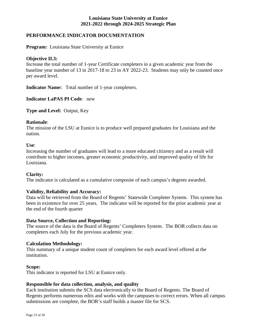## **PERFORMANCE INDICATOR DOCUMENTATION**

**Program:** Louisiana State University at Eunice

#### **Objective II.3:**

Increase the total number of 1-year Certificate completers in a given academic year from the baseline year number of 13 in 2017-18 to 23 in AY 2022-23. Students may only be counted once per award level.

**Indicator Name:** Total number of 1-year completers.

**Indicator LaPAS PI Code**: new

**Type and Level:** Output, Key

#### **Rationale**:

The mission of the LSU at Eunice is to produce well prepared graduates for Louisiana and the nation.

#### **Use**:

Increasing the number of graduates will lead to a more educated citizenry and as a result will contribute to higher incomes, greater economic productivity, and improved quality of life for Louisiana.

#### **Clarity:**

The indicator is calculated as a cumulative composite of each campus's degrees awarded.

#### **Validity, Reliability and Accuracy:**

Data will be retrieved from the Board of Regents' Statewide Completer System. This system has been in existence for over 25 years. The indicator will be reported for the prior academic year at the end of the fourth quarter

#### **Data Source, Collection and Reporting:**

The source of the data is the Board of Regents' Completers System. The BOR collects data on completers each July for the previous academic year.

#### **Calculation Methodology:**

This summary of a unique student count of completers for each award level offered at the institution.

#### **Scope:**

This indicator is reported for LSU at Eunice only.

#### **Responsible for data collection, analysis, and quality**

Each institution submits the SCS data electronically to the Board of Regents. The Board of Regents performs numerous edits and works with the campuses to correct errors. When all campus submissions are complete, the BOR's staff builds a master file for SCS.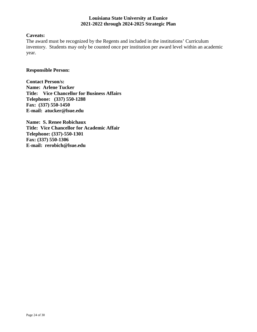## **Caveats:**

The award must be recognized by the Regents and included in the institutions' Curriculum inventory. Students may only be counted once per institution per award level within an academic year.

#### **Responsible Person:**

**Contact Person/s: Name: Arlene Tucker Title: Vice Chancellor for Business Affairs Telephone: (337) 550-1288 Fax: (337) 550-1450 E-mail: atucker@lsue.edu**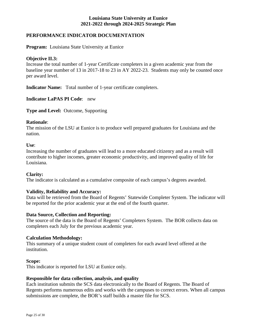## **PERFORMANCE INDICATOR DOCUMENTATION**

**Program:** Louisiana State University at Eunice

#### **Objective II.3:**

Increase the total number of 1-year Certificate completers in a given academic year from the baseline year number of 13 in 2017-18 to 23 in AY 2022-23. Students may only be counted once per award level.

**Indicator Name:** Total number of 1-year certificate completers.

**Indicator LaPAS PI Code**: new

**Type and Level:** Outcome, Supporting

#### **Rationale**:

The mission of the LSU at Eunice is to produce well prepared graduates for Louisiana and the nation.

#### **Use**:

Increasing the number of graduates will lead to a more educated citizenry and as a result will contribute to higher incomes, greater economic productivity, and improved quality of life for Louisiana.

#### **Clarity:**

The indicator is calculated as a cumulative composite of each campus's degrees awarded.

#### **Validity, Reliability and Accuracy:**

Data will be retrieved from the Board of Regents' Statewide Completer System. The indicator will be reported for the prior academic year at the end of the fourth quarter.

#### **Data Source, Collection and Reporting:**

The source of the data is the Board of Regents' Completers System. The BOR collects data on completers each July for the previous academic year.

#### **Calculation Methodology:**

This summary of a unique student count of completers for each award level offered at the institution.

#### **Scope:**

This indicator is reported for LSU at Eunice only.

## **Responsible for data collection, analysis, and quality**

Each institution submits the SCS data electronically to the Board of Regents. The Board of Regents performs numerous edits and works with the campuses to correct errors. When all campus submissions are complete, the BOR's staff builds a master file for SCS.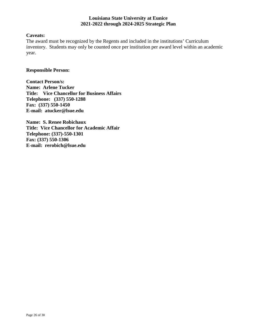## **Caveats:**

The award must be recognized by the Regents and included in the institutions' Curriculum inventory. Students may only be counted once per institution per award level within an academic year.

#### **Responsible Person:**

**Contact Person/s: Name: Arlene Tucker Title: Vice Chancellor for Business Affairs Telephone: (337) 550-1288 Fax: (337) 550-1450 E-mail: atucker@lsue.edu**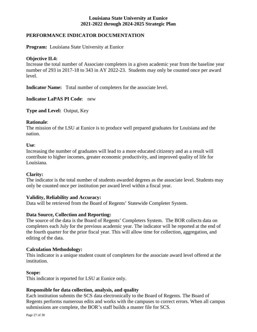## **PERFORMANCE INDICATOR DOCUMENTATION**

**Program:** Louisiana State University at Eunice

#### **Objective II.4:**

Increase the total number of Associate completers in a given academic year from the baseline year number of 293 in 2017-18 to 343 in AY 2022-23. Students may only be counted once per award level.

**Indicator Name:** Total number of completers for the associate level.

**Indicator LaPAS PI Code**: new

**Type and Level:** Output, Key

#### **Rationale**:

The mission of the LSU at Eunice is to produce well prepared graduates for Louisiana and the nation.

#### **Use**:

Increasing the number of graduates will lead to a more educated citizenry and as a result will contribute to higher incomes, greater economic productivity, and improved quality of life for Louisiana.

#### **Clarity:**

The indicator is the total number of students awarded degrees as the associate level. Students may only be counted once per institution per award level within a fiscal year.

## **Validity, Reliability and Accuracy:**

Data will be retrieved from the Board of Regents' Statewide Completer System.

## **Data Source, Collection and Reporting:**

The source of the data is the Board of Regents' Completers System. The BOR collects data on completers each July for the previous academic year. The indicator will be reported at the end of the fourth quarter for the prior fiscal year. This will allow time for collection, aggregation, and editing of the data.

#### **Calculation Methodology:**

This indicator is a unique student count of completers for the associate award level offered at the institution.

#### **Scope:**

This indicator is reported for LSU at Eunice only.

## **Responsible for data collection, analysis, and quality**

Each institution submits the SCS data electronically to the Board of Regents. The Board of Regents performs numerous edits and works with the campuses to correct errors. When all campus submissions are complete, the BOR's staff builds a master file for SCS.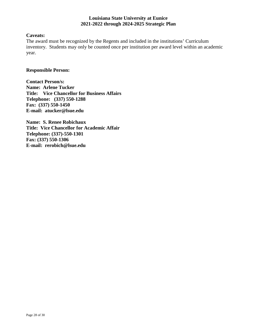## **Caveats:**

The award must be recognized by the Regents and included in the institutions' Curriculum inventory. Students may only be counted once per institution per award level within an academic year.

#### **Responsible Person:**

**Contact Person/s: Name: Arlene Tucker Title: Vice Chancellor for Business Affairs Telephone: (337) 550-1288 Fax: (337) 550-1450 E-mail: atucker@lsue.edu**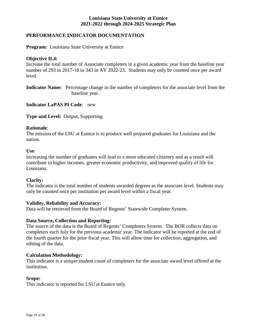## **PERFORMANCE INDICATOR DOCUMENTATION**

**Program:** Louisiana State University at Eunice

#### **Objective II.4:**

Increase the total number of Associate completers in a given academic year from the baseline year number of 293 in 2017-18 to 343 in AY 2022-23. Students may only be counted once per award level.

**Indicator Name:** Percentage change in the number of completers for the associate level from the baseline year.

**Indicator LaPAS PI Code**: new

**Type and Level:** Output, Supporting

#### **Rationale**:

The mission of the LSU at Eunice is to produce well prepared graduates for Louisiana and the nation.

#### **Use**:

Increasing the number of graduates will lead to a more educated citizenry and as a result will contribute to higher incomes, greater economic productivity, and improved quality of life for Louisiana.

## **Clarity:**

The indicator is the total number of students awarded degrees as the associate level. Students may only be counted once per institution per award level within a fiscal year.

## **Validity, Reliability and Accuracy:**

Data will be retrieved from the Board of Regents' Statewide Completer System.

#### **Data Source, Collection and Reporting:**

The source of the data is the Board of Regents' Completers System. The BOR collects data on completers each July for the previous academic year. The indicator will be reported at the end of the fourth quarter for the prior fiscal year. This will allow time for collection, aggregation, and editing of the data.

#### **Calculation Methodology:**

This indicator is a unique student count of completers for the associate award level offered at the institution.

#### **Scope:**

This indicator is reported for LSU at Eunice only.